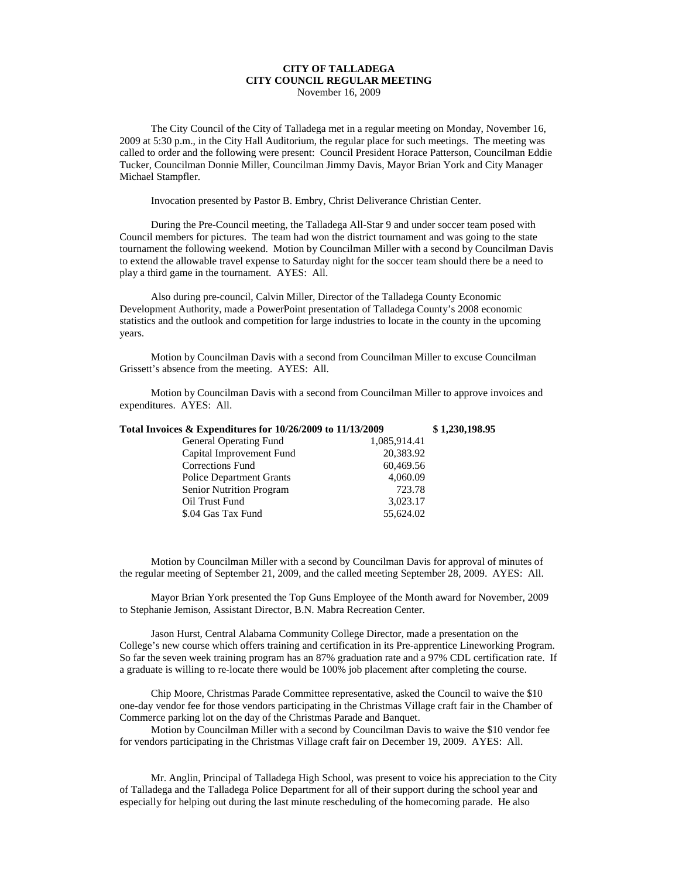## **CITY OF TALLADEGA CITY COUNCIL REGULAR MEETING**

November 16, 2009

The City Council of the City of Talladega met in a regular meeting on Monday, November 16, 2009 at 5:30 p.m., in the City Hall Auditorium, the regular place for such meetings. The meeting was called to order and the following were present: Council President Horace Patterson, Councilman Eddie Tucker, Councilman Donnie Miller, Councilman Jimmy Davis, Mayor Brian York and City Manager Michael Stampfler.

Invocation presented by Pastor B. Embry, Christ Deliverance Christian Center.

During the Pre-Council meeting, the Talladega All-Star 9 and under soccer team posed with Council members for pictures. The team had won the district tournament and was going to the state tournament the following weekend. Motion by Councilman Miller with a second by Councilman Davis to extend the allowable travel expense to Saturday night for the soccer team should there be a need to play a third game in the tournament. AYES: All.

Also during pre-council, Calvin Miller, Director of the Talladega County Economic Development Authority, made a PowerPoint presentation of Talladega County's 2008 economic statistics and the outlook and competition for large industries to locate in the county in the upcoming years.

Motion by Councilman Davis with a second from Councilman Miller to excuse Councilman Grissett's absence from the meeting. AYES: All.

Motion by Councilman Davis with a second from Councilman Miller to approve invoices and expenditures. AYES: All.

| Total Invoices & Expenditures for 10/26/2009 to 11/13/2009 |              | \$1,230,198.95 |
|------------------------------------------------------------|--------------|----------------|
| <b>General Operating Fund</b>                              | 1,085,914.41 |                |
| Capital Improvement Fund                                   | 20,383.92    |                |
| <b>Corrections Fund</b>                                    | 60,469.56    |                |
| <b>Police Department Grants</b>                            | 4,060.09     |                |
| Senior Nutrition Program                                   | 723.78       |                |
| Oil Trust Fund                                             | 3,023.17     |                |
| \$.04 Gas Tax Fund                                         | 55,624.02    |                |
|                                                            |              |                |

Motion by Councilman Miller with a second by Councilman Davis for approval of minutes of the regular meeting of September 21, 2009, and the called meeting September 28, 2009. AYES: All.

Mayor Brian York presented the Top Guns Employee of the Month award for November, 2009 to Stephanie Jemison, Assistant Director, B.N. Mabra Recreation Center.

Jason Hurst, Central Alabama Community College Director, made a presentation on the College's new course which offers training and certification in its Pre-apprentice Lineworking Program. So far the seven week training program has an 87% graduation rate and a 97% CDL certification rate. If a graduate is willing to re-locate there would be 100% job placement after completing the course.

Chip Moore, Christmas Parade Committee representative, asked the Council to waive the \$10 one-day vendor fee for those vendors participating in the Christmas Village craft fair in the Chamber of Commerce parking lot on the day of the Christmas Parade and Banquet.

Motion by Councilman Miller with a second by Councilman Davis to waive the \$10 vendor fee for vendors participating in the Christmas Village craft fair on December 19, 2009. AYES: All.

Mr. Anglin, Principal of Talladega High School, was present to voice his appreciation to the City of Talladega and the Talladega Police Department for all of their support during the school year and especially for helping out during the last minute rescheduling of the homecoming parade. He also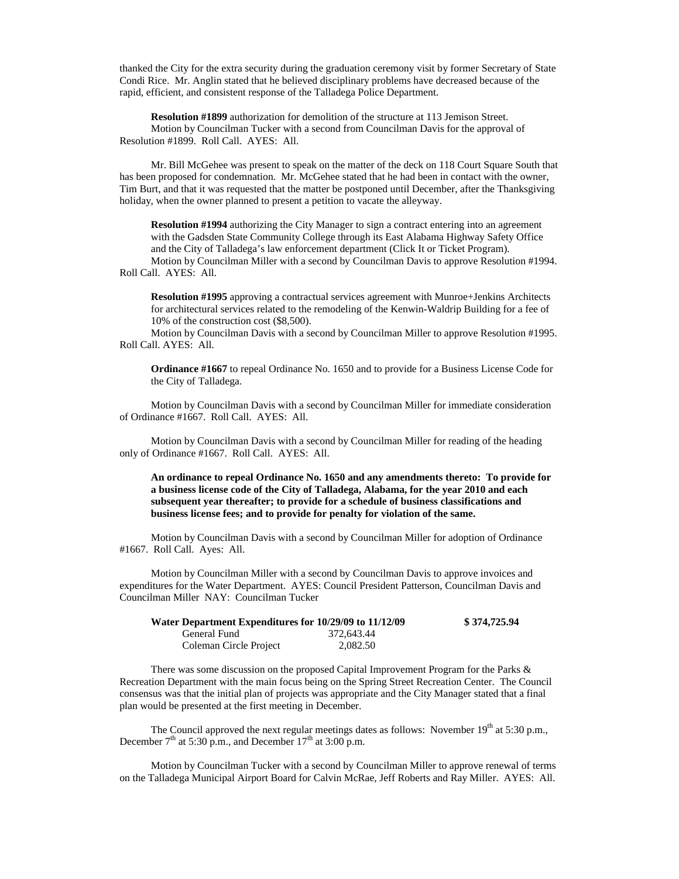thanked the City for the extra security during the graduation ceremony visit by former Secretary of State Condi Rice. Mr. Anglin stated that he believed disciplinary problems have decreased because of the rapid, efficient, and consistent response of the Talladega Police Department.

**Resolution #1899** authorization for demolition of the structure at 113 Jemison Street. Motion by Councilman Tucker with a second from Councilman Davis for the approval of Resolution #1899. Roll Call. AYES: All.

Mr. Bill McGehee was present to speak on the matter of the deck on 118 Court Square South that has been proposed for condemnation. Mr. McGehee stated that he had been in contact with the owner, Tim Burt, and that it was requested that the matter be postponed until December, after the Thanksgiving holiday, when the owner planned to present a petition to vacate the alleyway.

**Resolution #1994** authorizing the City Manager to sign a contract entering into an agreement with the Gadsden State Community College through its East Alabama Highway Safety Office and the City of Talladega's law enforcement department (Click It or Ticket Program).

Motion by Councilman Miller with a second by Councilman Davis to approve Resolution #1994. Roll Call. AYES: All.

**Resolution #1995** approving a contractual services agreement with Munroe+Jenkins Architects for architectural services related to the remodeling of the Kenwin-Waldrip Building for a fee of 10% of the construction cost (\$8,500).

Motion by Councilman Davis with a second by Councilman Miller to approve Resolution #1995. Roll Call. AYES: All.

**Ordinance #1667** to repeal Ordinance No. 1650 and to provide for a Business License Code for the City of Talladega.

Motion by Councilman Davis with a second by Councilman Miller for immediate consideration of Ordinance #1667. Roll Call. AYES: All.

Motion by Councilman Davis with a second by Councilman Miller for reading of the heading only of Ordinance #1667. Roll Call. AYES: All.

**An ordinance to repeal Ordinance No. 1650 and any amendments thereto: To provide for a business license code of the City of Talladega, Alabama, for the year 2010 and each subsequent year thereafter; to provide for a schedule of business classifications and business license fees; and to provide for penalty for violation of the same.**

Motion by Councilman Davis with a second by Councilman Miller for adoption of Ordinance #1667. Roll Call. Ayes: All.

Motion by Councilman Miller with a second by Councilman Davis to approve invoices and expenditures for the Water Department. AYES: Council President Patterson, Councilman Davis and Councilman Miller NAY: Councilman Tucker

| Water Department Expenditures for 10/29/09 to 11/12/09 |            | \$374,725.94 |
|--------------------------------------------------------|------------|--------------|
| General Fund                                           | 372.643.44 |              |
| Coleman Circle Project                                 | 2.082.50   |              |

There was some discussion on the proposed Capital Improvement Program for the Parks & Recreation Department with the main focus being on the Spring Street Recreation Center. The Council consensus was that the initial plan of projects was appropriate and the City Manager stated that a final plan would be presented at the first meeting in December.

The Council approved the next regular meetings dates as follows: November  $19<sup>th</sup>$  at 5:30 p.m., December  $7<sup>th</sup>$  at 5:30 p.m., and December  $17<sup>th</sup>$  at 3:00 p.m.

Motion by Councilman Tucker with a second by Councilman Miller to approve renewal of terms on the Talladega Municipal Airport Board for Calvin McRae, Jeff Roberts and Ray Miller. AYES: All.